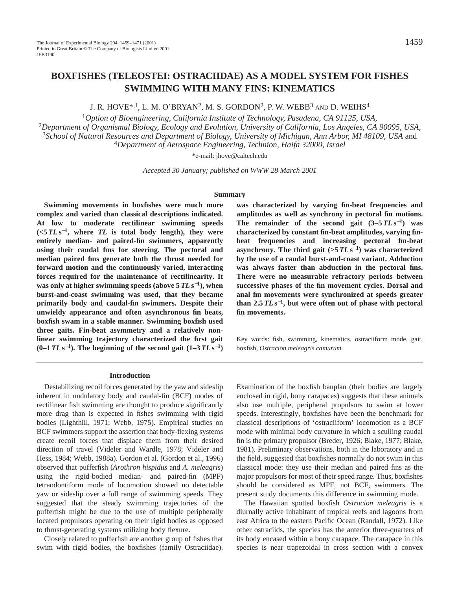# **BOXFISHES (TELEOSTEI: OSTRACIIDAE) AS A MODEL SYSTEM FOR FISHES SWIMMING WITH MANY FINS: KINEMATICS**

J. R. HOVE\*<sup>1</sup>, L. M. O'BRYAN<sup>2</sup>, M. S. GORDON<sup>2</sup>, P. W. WEBB<sup>3</sup> AND D. WEIHS<sup>4</sup>

*Option of Bioengineering, California Institute of Technology, Pasadena, CA 91125, USA, Department of Organismal Biology, Ecology and Evolution, University of California, Los Angeles, CA 90095, USA, School of Natural Resources and Department of Biology, University of Michigan, Ann Arbor, MI 48109, USA* and *Department of Aerospace Engineering, Technion, Haifa 32000, Israel*

\*e-mail: jhove@caltech.edu

*Accepted 30 January; published on WWW 28 March 2001*

#### **Summary**

**Swimming movements in boxfishes were much more complex and varied than classical descriptions indicated. At low to moderate rectilinear swimming speeds**  $(*5*TL<sub>S</sub><sup>-1</sup>, where TL is total body length), they were$ **entirely median- and paired-fin swimmers, apparently using their caudal fins for steering. The pectoral and median paired fins generate both the thrust needed for forward motion and the continuously varied, interacting forces required for the maintenance of rectilinearity. It was only at higher swimming speeds (above 5** *TL* **s**<sup>−</sup>**1), when burst-and-coast swimming was used, that they became primarily body and caudal-fin swimmers. Despite their unwieldy appearance and often asynchronous fin beats, boxfish swam in a stable manner. Swimming boxfish used three gaits. Fin-beat asymmetry and a relatively nonlinear swimming trajectory characterized the first gait**  $(0-1)$  *TL* **s**<sup>−1</sup>). The beginning of the second gait  $(1-3)$  *TL*  $\text{s}^{-1}$ 

#### **Introduction**

Destabilizing recoil forces generated by the yaw and sideslip inherent in undulatory body and caudal-fin (BCF) modes of rectilinear fish swimming are thought to produce significantly more drag than is expected in fishes swimming with rigid bodies (Lighthill, 1971; Webb, 1975). Empirical studies on BCF swimmers support the assertion that body-flexing systems create recoil forces that displace them from their desired direction of travel (Videler and Wardle, 1978; Videler and Hess, 1984; Webb, 1988a). Gordon et al. (Gordon et al., 1996) observed that pufferfish (*Arothron hispidus* and *A. meleagris*) using the rigid-bodied median- and paired-fin (MPF) tetraodontiform mode of locomotion showed no detectable yaw or sideslip over a full range of swimming speeds. They suggested that the steady swimming trajectories of the pufferfish might be due to the use of multiple peripherally located propulsors operating on their rigid bodies as opposed to thrust-generating systems utilizing body flexure.

Closely related to pufferfish are another group of fishes that swim with rigid bodies, the boxfishes (family Ostraciidae).

**was characterized by varying fin-beat frequencies and amplitudes as well as synchrony in pectoral fin motions.** The remainder of the second gait  $(3-5)TLs^{-1}$  was **characterized by constant fin-beat amplitudes, varying finbeat frequencies and increasing pectoral fin-beat** asynchrony. The third gait  $(57Ls^{-1})$  was characterized **by the use of a caudal burst-and-coast variant. Adduction was always faster than abduction in the pectoral fins. There were no measurable refractory periods between successive phases of the fin movement cycles. Dorsal and anal fin movements were synchronized at speeds greater** than  $2.5 \, T L \, s^{-1}$ , but were often out of phase with pectoral **fin movements.**

Key words: fish, swimming, kinematics, ostraciiform mode, gait, boxfish, *Ostracion meleagris camurum.*

Examination of the boxfish bauplan (their bodies are largely enclosed in rigid, bony carapaces) suggests that these animals also use multiple, peripheral propulsors to swim at lower speeds. Interestingly, boxfishes have been the benchmark for classical descriptions of 'ostraciiform' locomotion as a BCF mode with minimal body curvature in which a sculling caudal fin is the primary propulsor (Breder, 1926; Blake, 1977; Blake, 1981). Preliminary observations, both in the laboratory and in the field, suggested that boxfishes normally do not swim in this classical mode: they use their median and paired fins as the major propulsors for most of their speed range. Thus, boxfishes should be considered as MPF, not BCF, swimmers. The present study documents this difference in swimming mode.

The Hawaiian spotted boxfish *Ostracion meleagris* is a diurnally active inhabitant of tropical reefs and lagoons from east Africa to the eastern Pacific Ocean (Randall, 1972). Like other ostraciids, the species has the anterior three-quarters of its body encased within a bony carapace. The carapace in this species is near trapezoidal in cross section with a convex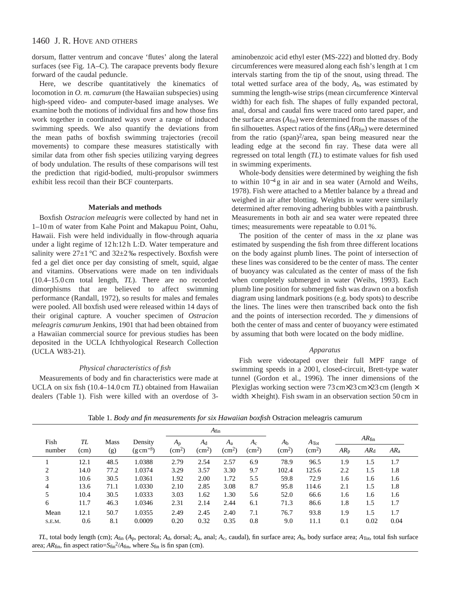dorsum, flatter ventrum and concave 'flutes' along the lateral surfaces (see Fig. 1A–C). The carapace prevents body flexure forward of the caudal peduncle.

Here, we describe quantitatively the kinematics of locomotion in *O. m. camurum* (the Hawaiian subspecies) using high-speed video- and computer-based image analyses. We examine both the motions of individual fins and how those fins work together in coordinated ways over a range of induced swimming speeds. We also quantify the deviations from the mean paths of boxfish swimming trajectories (recoil movements) to compare these measures statistically with similar data from other fish species utilizing varying degrees of body undulation. The results of these comparisons will test the prediction that rigid-bodied, multi-propulsor swimmers exhibit less recoil than their BCF counterparts.

### **Materials and methods**

Boxfish *Ostracion meleagris* were collected by hand net in 1–10 m of water from Kahe Point and Makapuu Point, Oahu, Hawaii. Fish were held individually in flow-through aquaria under a light regime of 12 h:12 h L:D. Water temperature and salinity were  $27\pm1$  °C and  $32\pm2$  ‰ respectively. Boxfish were fed a gel diet once per day consisting of smelt, squid, algae and vitamins. Observations were made on ten individuals (10.4–15.0 cm total length, *TL*). There are no recorded dimorphisms that are believed to affect swimming performance (Randall, 1972), so results for males and females were pooled. All boxfish used were released within 14 days of their original capture. A voucher specimen of *Ostracion meleagris camurum* Jenkins, 1901 that had been obtained from a Hawaiian commercial source for previous studies has been deposited in the UCLA Ichthyological Research Collection (UCLA W83-21).

## *Physical characteristics of fish*

Measurements of body and fin characteristics were made at UCLA on six fish (10.4–14.0 cm *TL*) obtained from Hawaiian dealers (Table 1). Fish were killed with an overdose of 3-

aminobenzoic acid ethyl ester (MS-222) and blotted dry. Body circumferences were measured along each fish's length at 1 cm intervals starting from the tip of the snout, using thread. The total wetted surface area of the body, *A*b, was estimated by summing the length-wise strips (mean circumference  $\times$  interval width) for each fish. The shapes of fully expanded pectoral, anal, dorsal and caudal fins were traced onto tared paper, and the surface areas  $(A<sub>fin</sub>)$  were determined from the masses of the fin silhouettes. Aspect ratios of the fins (*AR*fin) were determined from the ratio (span)<sup>2</sup>/area, span being measured near the leading edge at the second fin ray. These data were all regressed on total length (*TL*) to estimate values for fish used in swimming experiments.

Whole-body densities were determined by weighing the fish to within 10−<sup>4</sup> g in air and in sea water (Arnold and Weihs, 1978). Fish were attached to a Mettler balance by a thread and weighed in air after blotting. Weights in water were similarly determined after removing adhering bubbles with a paintbrush. Measurements in both air and sea water were repeated three times; measurements were repeatable to 0.01 %.

The position of the center of mass in the *xz* plane was estimated by suspending the fish from three different locations on the body against plumb lines. The point of intersection of these lines was considered to be the center of mass. The center of buoyancy was calculated as the center of mass of the fish when completely submerged in water (Weihs, 1993). Each plumb line position for submerged fish was drawn on a boxfish diagram using landmark positions (e.g. body spots) to describe the lines. The lines were then transcribed back onto the fish and the points of intersection recorded. The *y* dimensions of both the center of mass and center of buoyancy were estimated by assuming that both were located on the body midline.

### *Apparatus*

Fish were videotaped over their full MPF range of swimming speeds in a 200 l, closed-circuit, Brett-type water tunnel (Gordon et al., 1996). The inner dimensions of the Plexiglas working section were 73 cm×23 cm×23 cm (length × width  $\times$  height). Fish swam in an observation section 50 cm in

|        |      |             |                         |              | $A_{fin}$          |                    |               |                 |                 |          |                   |        |  |
|--------|------|-------------|-------------------------|--------------|--------------------|--------------------|---------------|-----------------|-----------------|----------|-------------------|--------|--|
| Fish   | TL   | <b>Mass</b> | Density                 | $A_{p}$      | $A_d$              | A <sub>a</sub>     | $A_{\rm c}$   | A <sub>b</sub>  | $A$ Tot         |          | AR <sub>fin</sub> |        |  |
| number | (cm) | (g)         | $(g \, \text{cm}^{-3})$ | $\rm (cm^2)$ | (cm <sup>2</sup> ) | (cm <sup>2</sup> ) | $\text{cm}^2$ | $\text{cm}^2$ ) | $\text{cm}^2$ ) | $AR_{p}$ | AR <sub>d</sub>   | $AR_a$ |  |
|        | 12.1 | 48.5        | 1.0388                  | 2.79         | 2.54               | 2.57               | 6.9           | 78.9            | 96.5            | 1.9      | 1.5               | 1.7    |  |
| 2      | 14.0 | 77.2        | 1.0374                  | 3.29         | 3.57               | 3.30               | 9.7           | 102.4           | 125.6           | 2.2      | 1.5               | 1.8    |  |
| 3      | 10.6 | 30.5        | 1.0361                  | 1.92         | 2.00               | 1.72               | 5.5           | 59.8            | 72.9            | 1.6      | 1.6               | 1.6    |  |
| 4      | 13.6 | 71.1        | 1.0330                  | 2.10         | 2.85               | 3.08               | 8.7           | 95.8            | 114.6           | 2.1      | 1.5               | 1.8    |  |
| 5      | 10.4 | 30.5        | 1.0333                  | 3.03         | 1.62               | 1.30               | 5.6           | 52.0            | 66.6            | 1.6      | 1.6               | 1.6    |  |
| 6      | 11.7 | 46.3        | 1.0346                  | 2.31         | 2.14               | 2.44               | 6.1           | 71.3            | 86.6            | 1.8      | 1.5               | 1.7    |  |
| Mean   | 12.1 | 50.7        | 1.0355                  | 2.49         | 2.45               | 2.40               | 7.1           | 76.7            | 93.8            | 1.9      | 1.5               | 1.7    |  |
| S.E.M. | 0.6  | 8.1         | 0.0009                  | 0.20         | 0.32               | 0.35               | 0.8           | 9.0             | 11.1            | 0.1      | 0.02              | 0.04   |  |

Table 1. *Body and fin measurements for six Hawaiian boxfish* Ostracion meleagris camurum

*TL*, total body length (cm); *A*fin (*A*p, pectoral; *A*d, dorsal; *A*a, anal; *A*c, caudal), fin surface area; *A*b, body surface area; *A*Tot, total fish surface area;  $AR_{fin}$ , fin aspect ratio= $S_{fin}^2/A_{fin}$ , where  $S_{fin}$  is fin span (cm).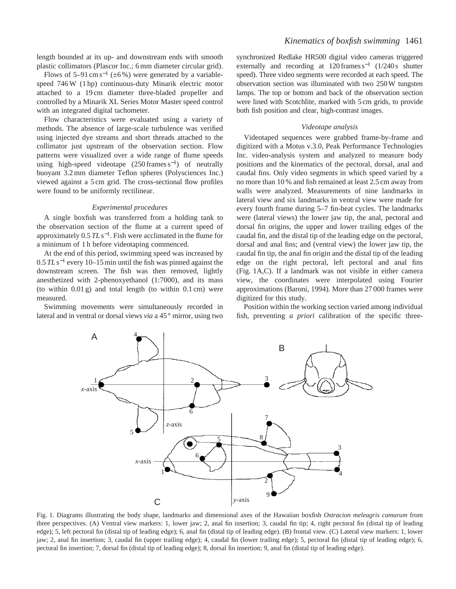length bounded at its up- and downstream ends with smooth plastic collimators (Plascor Inc.; 6 mm diameter circular grid).

Flows of 5–91 cm s<sup>-1</sup> ( $\pm$ 6%) were generated by a variablespeed 746 W (1 hp) continuous-duty Minarik electric motor attached to a 19 cm diameter three-bladed propeller and controlled by a Minarik XL Series Motor Master speed control with an integrated digital tachometer.

Flow characteristics were evaluated using a variety of methods. The absence of large-scale turbulence was verified using injected dye streams and short threads attached to the collimator just upstream of the observation section. Flow patterns were visualized over a wide range of flume speeds using high-speed videotape  $(250 \text{ frames s}^{-1})$  of neutrally buoyant 3.2 mm diameter Teflon spheres (Polysciences Inc.) viewed against a 5 cm grid. The cross-sectional flow profiles were found to be uniformly rectilinear.

### *Experimental procedures*

A single boxfish was transferred from a holding tank to the observation section of the flume at a current speed of approximately 0.5 *TL* s<sup>−</sup>1. Fish were acclimated in the flume for a minimum of 1 h before videotaping commenced.

At the end of this period, swimming speed was increased by 0.5 *TL* s−<sup>1</sup> every 10–15 min until the fish was pinned against the downstream screen. The fish was then removed, lightly anesthetized with 2-phenoxyethanol (1:7000), and its mass (to within 0.01 g) and total length (to within 0.1 cm) were measured.

Swimming movements were simultaneously recorded in lateral and in ventral or dorsal views *via* a 45 ° mirror, using two

synchronized Redlake HR500 digital video cameras triggered externally and recording at  $120$  frames s<sup>-1</sup> (1/240 s shutter speed). Three video segments were recorded at each speed. The observation section was illuminated with two 250 W tungsten lamps. The top or bottom and back of the observation section were lined with Scotchlite, marked with 5 cm grids, to provide both fish position and clear, high-contrast images.

### *Videotape analysis*

Videotaped sequences were grabbed frame-by-frame and digitized with a Motus v.3.0, Peak Performance Technologies Inc. video-analysis system and analyzed to measure body positions and the kinematics of the pectoral, dorsal, anal and caudal fins. Only video segments in which speed varied by a no more than 10 % and fish remained at least 2.5 cm away from walls were analyzed. Measurements of nine landmarks in lateral view and six landmarks in ventral view were made for every fourth frame during 5–7 fin-beat cycles. The landmarks were (lateral views) the lower jaw tip, the anal, pectoral and dorsal fin origins, the upper and lower trailing edges of the caudal fin, and the distal tip of the leading edge on the pectoral, dorsal and anal fins; and (ventral view) the lower jaw tip, the caudal fin tip, the anal fin origin and the distal tip of the leading edge on the right pectoral, left pectoral and anal fins (Fig. 1A,C). If a landmark was not visible in either camera view, the coordinates were interpolated using Fourier approximations (Baroni, 1994). More than 27 000 frames were digitized for this study.

Position within the working section varied among individual fish, preventing *a priori* calibration of the specific three-



Fig. 1. Diagrams illustrating the body shape, landmarks and dimensional axes of the Hawaiian boxfish *Ostracion meleagris camurum* from three perspectives. (A) Ventral view markers: 1, lower jaw; 2, anal fin insertion; 3, caudal fin tip; 4, right pectoral fin (distal tip of leading edge); 5, left pectoral fin (distal tip of leading edge); 6, anal fin (distal tip of leading edge). (B) frontal view. (C) Lateral view markers: 1, lower jaw; 2, anal fin insertion; 3, caudal fin (upper trailing edge); 4, caudal fin (lower trailing edge); 5, pectoral fin (distal tip of leading edge); 6, pectoral fin insertion; 7, dorsal fin (distal tip of leading edge); 8, dorsal fin insertion; 9, anal fin (distal tip of leading edge).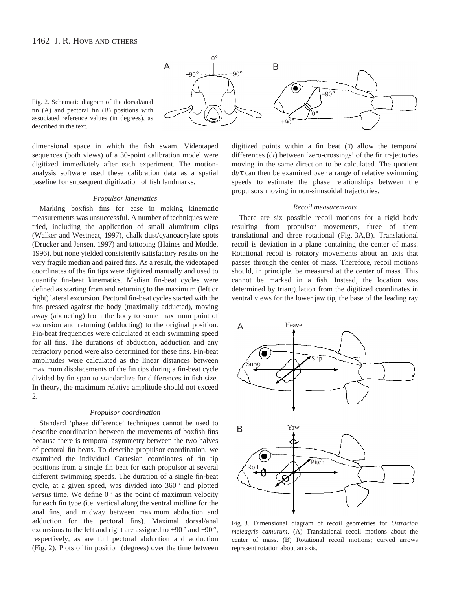

Fig. 2. Schematic diagram of the dorsal/anal fin (A) and pectoral fin (B) positions with associated reference values (in degrees), as described in the text.

dimensional space in which the fish swam. Videotaped sequences (both views) of a 30-point calibration model were digitized immediately after each experiment. The motionanalysis software used these calibration data as a spatial baseline for subsequent digitization of fish landmarks.

### *Propulsor kinematics*

Marking boxfish fins for ease in making kinematic measurements was unsuccessful. A number of techniques were tried, including the application of small aluminum clips (Walker and Westneat, 1997), chalk dust/cyanoacrylate spots (Drucker and Jensen, 1997) and tattooing (Haines and Modde, 1996), but none yielded consistently satisfactory results on the very fragile median and paired fins. As a result, the videotaped coordinates of the fin tips were digitized manually and used to quantify fin-beat kinematics. Median fin-beat cycles were defined as starting from and returning to the maximum (left or right) lateral excursion. Pectoral fin-beat cycles started with the fins pressed against the body (maximally adducted), moving away (abducting) from the body to some maximum point of excursion and returning (adducting) to the original position. Fin-beat frequencies were calculated at each swimming speed for all fins. The durations of abduction, adduction and any refractory period were also determined for these fins. Fin-beat amplitudes were calculated as the linear distances between maximum displacements of the fin tips during a fin-beat cycle divided by fin span to standardize for differences in fish size. In theory, the maximum relative amplitude should not exceed 2.

### *Propulsor coordination*

Standard 'phase difference' techniques cannot be used to describe coordination between the movements of boxfish fins because there is temporal asymmetry between the two halves of pectoral fin beats. To describe propulsor coordination, we examined the individual Cartesian coordinates of fin tip positions from a single fin beat for each propulsor at several different swimming speeds. The duration of a single fin-beat cycle, at a given speed, was divided into 360° and plotted *versus* time. We define  $0^{\circ}$  as the point of maximum velocity for each fin type (i.e. vertical along the ventral midline for the anal fins, and midway between maximum abduction and adduction for the pectoral fins). Maximal dorsal/anal excursions to the left and right are assigned to +90 ° and −90 °, respectively, as are full pectoral abduction and adduction (Fig. 2). Plots of fin position (degrees) over the time between

digitized points within a fin beat (τ) allow the temporal differences (d*t*) between 'zero-crossings' of the fin trajectories moving in the same direction to be calculated. The quotient d*t*/τ can then be examined over a range of relative swimming speeds to estimate the phase relationships between the propulsors moving in non-sinusoidal trajectories.

#### *Recoil measurements*

There are six possible recoil motions for a rigid body resulting from propulsor movements, three of them translational and three rotational (Fig. 3A,B). Translational recoil is deviation in a plane containing the center of mass. Rotational recoil is rotatory movements about an axis that passes through the center of mass. Therefore, recoil motions should, in principle, be measured at the center of mass. This cannot be marked in a fish. Instead, the location was determined by triangulation from the digitized coordinates in ventral views for the lower jaw tip, the base of the leading ray



Fig. 3. Dimensional diagram of recoil geometries for *Ostracion meleagris camurum*. (A) Translational recoil motions about the center of mass. (B) Rotational recoil motions; curved arrows represent rotation about an axis.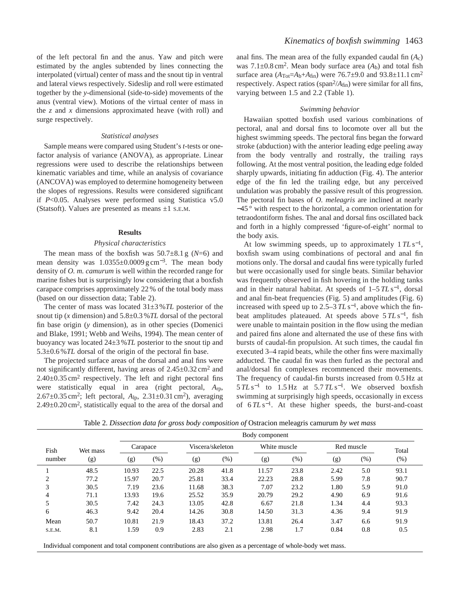of the left pectoral fin and the anus. Yaw and pitch were estimated by the angles subtended by lines connecting the interpolated (virtual) center of mass and the snout tip in ventral and lateral views respectively. Sideslip and roll were estimated together by the *y*-dimensional (side-to-side) movements of the anus (ventral view). Motions of the virtual center of mass in the *z* and *x* dimensions approximated heave (with roll) and surge respectively.

### *Statistical analyses*

Sample means were compared using Student's *t*-tests or onefactor analysis of variance (ANOVA), as appropriate. Linear regressions were used to describe the relationships between kinematic variables and time, while an analysis of covariance (ANCOVA) was employed to determine homogeneity between the slopes of regressions. Results were considered significant if *P*<0.05. Analyses were performed using Statistica v5.0 (Statsoft). Values are presented as means  $\pm 1$  s.e.m.

### **Results**

### *Physical characteristics*

The mean mass of the boxfish was  $50.7\pm8.1$  g ( $N=6$ ) and mean density was  $1.0355\pm0.0009$  g cm<sup>-3</sup>. The mean body density of *O. m. camurum* is well within the recorded range for marine fishes but is surprisingly low considering that a boxfish carapace comprises approximately 22 % of the total body mass (based on our dissection data; Table 2).

The center of mass was located 31±3 %*TL* posterior of the snout tip (*x* dimension) and 5.8±0.3 %*TL* dorsal of the pectoral fin base origin (*y* dimension), as in other species (Domenici and Blake, 1991; Webb and Weihs, 1994). The mean center of buoyancy was located 24±3 %*TL* posterior to the snout tip and 5.3±0.6 %*TL* dorsal of the origin of the pectoral fin base.

The projected surface areas of the dorsal and anal fins were not significantly different, having areas of  $2.45\pm0.32$  cm<sup>2</sup> and  $2.40\pm0.35$  cm<sup>2</sup> respectively. The left and right pectoral fins were statistically equal in area (right pectoral, *A*rp, 2.67±0.35 cm2; left pectoral, *A*lp, 2.31±0.31 cm2), averaging 2.49±0.20 cm2, statistically equal to the area of the dorsal and anal fins. The mean area of the fully expanded caudal fin (*A*c) was  $7.1\pm0.8$  cm<sup>2</sup>. Mean body surface area  $(A_b)$  and total fish surface area  $(A_{\text{Tot}}=A_{b}+A_{\text{fin}})$  were 76.7±9.0 and 93.8±11.1 cm<sup>2</sup> respectively. Aspect ratios ( $\text{span}^2/A_{\text{fin}}$ ) were similar for all fins, varying between 1.5 and 2.2 (Table 1).

#### *Swimming behavior*

Hawaiian spotted boxfish used various combinations of pectoral, anal and dorsal fins to locomote over all but the highest swimming speeds. The pectoral fins began the forward stroke (abduction) with the anterior leading edge peeling away from the body ventrally and rostrally, the trailing rays following. At the most ventral position, the leading edge folded sharply upwards, initiating fin adduction (Fig. 4). The anterior edge of the fin led the trailing edge, but any perceived undulation was probably the passive result of this progression. The pectoral fin bases of *O. meleagris* are inclined at nearly −45 ° with respect to the horizontal, a common orientation for tetraodontiform fishes. The anal and dorsal fins oscillated back and forth in a highly compressed 'figure-of-eight' normal to the body axis.

At low swimming speeds, up to approximately 1 *TL* s<sup>−</sup>1, boxfish swam using combinations of pectoral and anal fin motions only. The dorsal and caudal fins were typically furled but were occasionally used for single beats. Similar behavior was frequently observed in fish hovering in the holding tanks and in their natural habitat. At speeds of 1–5 *TL* s<sup>−</sup>1, dorsal and anal fin-beat frequencies (Fig. 5) and amplitudes (Fig. 6) increased with speed up to 2.5–3  $TLs^{-1}$ , above which the finbeat amplitudes plateaued. At speeds above 5 *TL* s<sup>−</sup>1, fish were unable to maintain position in the flow using the median and paired fins alone and alternated the use of these fins with bursts of caudal-fin propulsion. At such times, the caudal fin executed 3–4 rapid beats, while the other fins were maximally adducted. The caudal fin was then furled as the pectoral and anal/dorsal fin complexes recommenced their movements. The frequency of caudal-fin bursts increased from 0.5 Hz at 5 *TL* s−<sup>1</sup> to 1.5 Hz at 5.7 *TL* s<sup>−</sup>1. We observed boxfish swimming at surprisingly high speeds, occasionally in excess of 6 *TL* s<sup>−</sup>1. At these higher speeds, the burst-and-coast

Table 2. *Dissection data for gross body composition of* Ostracion meleagris camurum *by wet mass*

|        |          | Body component |         |                  |         |              |      |            |        |        |  |  |
|--------|----------|----------------|---------|------------------|---------|--------------|------|------------|--------|--------|--|--|
| Fish   | Wet mass | Carapace       |         | Viscera/skeleton |         | White muscle |      | Red muscle |        | Total  |  |  |
| number | (g)      | (g)            | $(\% )$ | (g)              | $(\% )$ | (g)          | (%)  | (g)        | $(\%)$ | $(\%)$ |  |  |
|        | 48.5     | 10.93          | 22.5    | 20.28            | 41.8    | 11.57        | 23.8 | 2.42       | 5.0    | 93.1   |  |  |
|        | 77.2     | 15.97          | 20.7    | 25.81            | 33.4    | 22.23        | 28.8 | 5.99       | 7.8    | 90.7   |  |  |
|        | 30.5     | 7.19           | 23.6    | 11.68            | 38.3    | 7.07         | 23.2 | 1.80       | 5.9    | 91.0   |  |  |
| 4      | 71.1     | 13.93          | 19.6    | 25.52            | 35.9    | 20.79        | 29.2 | 4.90       | 6.9    | 91.6   |  |  |
|        | 30.5     | 7.42           | 24.3    | 13.05            | 42.8    | 6.67         | 21.8 | 1.34       | 4.4    | 93.3   |  |  |
| 6      | 46.3     | 9.42           | 20.4    | 14.26            | 30.8    | 14.50        | 31.3 | 4.36       | 9.4    | 91.9   |  |  |
| Mean   | 50.7     | 10.81          | 21.9    | 18.43            | 37.2    | 13.81        | 26.4 | 3.47       | 6.6    | 91.9   |  |  |
| S.E.M. | 8.1      | 1.59           | 0.9     | 2.83             | 2.1     | 2.98         | 1.7  | 0.84       | 0.8    | 0.5    |  |  |

Individual component and total component contributions are also given as a percentage of whole-body wet mass.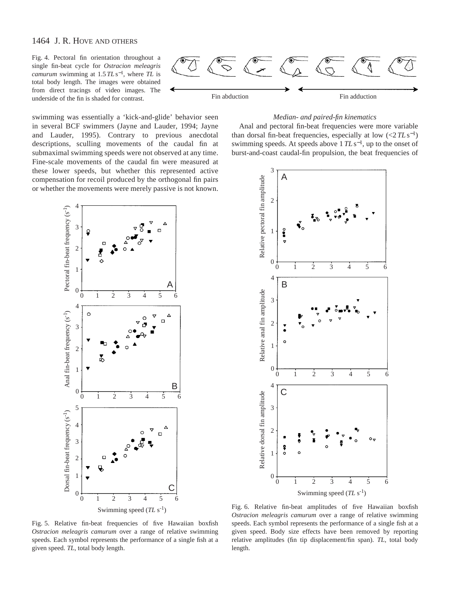Fig. 4. Pectoral fin orientation throughout a single fin-beat cycle for *Ostracion meleagris camurum* swimming at 1.5 *TL* s<sup>−</sup>1, where *TL* is total body length. The images were obtained from direct tracings of video images. The underside of the fin is shaded for contrast.

swimming was essentially a 'kick-and-glide' behavior seen in several BCF swimmers (Jayne and Lauder, 1994; Jayne and Lauder, 1995). Contrary to previous anecdotal descriptions, sculling movements of the caudal fin at submaximal swimming speeds were not observed at any time. Fine-scale movements of the caudal fin were measured at these lower speeds, but whether this represented active compensation for recoil produced by the orthogonal fin pairs or whether the movements were merely passive is not known.



### *Median- and paired-fin kinematics*

Anal and pectoral fin-beat frequencies were more variable than dorsal fin-beat frequencies, especially at low  $\left( \langle 2TL \, s^{-1} \rangle \right)$ swimming speeds. At speeds above 1 *TL* s<sup>−1</sup>, up to the onset of burst-and-coast caudal-fin propulsion, the beat frequencies of





Fig. 5. Relative fin-beat frequencies of five Hawaiian boxfish *Ostracion meleagris camurum* over a range of relative swimming speeds. Each symbol represents the performance of a single fish at a

Fig. 6. Relative fin-beat amplitudes of five Hawaiian boxfish *Ostracion meleagris camurum* over a range of relative swimming speeds. Each symbol represents the performance of a single fish at a given speed. Body size effects have been removed by reporting relative amplitudes (fin tip displacement/fin span). *TL*, total body length.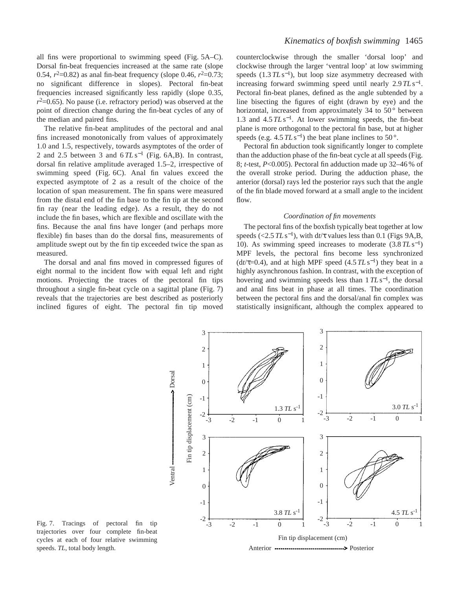all fins were proportional to swimming speed (Fig. 5A–C). Dorsal fin-beat frequencies increased at the same rate (slope 0.54,  $r^2$ =0.82) as anal fin-beat frequency (slope 0.46,  $r^2$ =0.73; no significant difference in slopes). Pectoral fin-beat frequencies increased significantly less rapidly (slope 0.35,  $r^2$ =0.65). No pause (i.e. refractory period) was observed at the point of direction change during the fin-beat cycles of any of the median and paired fins.

The relative fin-beat amplitudes of the pectoral and anal fins increased monotonically from values of approximately 1.0 and 1.5, respectively, towards asymptotes of the order of 2 and 2.5 between 3 and  $6TLs^{-1}$  (Fig. 6A,B). In contrast, dorsal fin relative amplitude averaged 1.5–2, irrespective of swimming speed (Fig. 6C). Anal fin values exceed the expected asymptote of 2 as a result of the choice of the location of span measurement. The fin spans were measured from the distal end of the fin base to the fin tip at the second fin ray (near the leading edge). As a result, they do not include the fin bases, which are flexible and oscillate with the fins. Because the anal fins have longer (and perhaps more flexible) fin bases than do the dorsal fins, measurements of amplitude swept out by the fin tip exceeded twice the span as measured.

The dorsal and anal fins moved in compressed figures of eight normal to the incident flow with equal left and right motions. Projecting the traces of the pectoral fin tips throughout a single fin-beat cycle on a sagittal plane (Fig. 7) reveals that the trajectories are best described as posteriorly inclined figures of eight. The pectoral fin tip moved counterclockwise through the smaller 'dorsal loop' and clockwise through the larger 'ventral loop' at low swimming speeds  $(1.3 \, T L \, s^{-1})$ , but loop size asymmetry decreased with increasing forward swimming speed until nearly 2.9 *TL* s<sup>−</sup>1. Pectoral fin-beat planes, defined as the angle subtended by a line bisecting the figures of eight (drawn by eye) and the horizontal, increased from approximately 34 to  $50^{\circ}$  between 1.3 and 4.5 *TL* s<sup>−</sup>1. At lower swimming speeds, the fin-beat plane is more orthogonal to the pectoral fin base, but at higher speeds (e.g.  $4.5 \, T L \, s^{-1}$ ) the beat plane inclines to 50°.

Pectoral fin abduction took significantly longer to complete than the adduction phase of the fin-beat cycle at all speeds (Fig. 8; *t*-test, *P*<0.005). Pectoral fin adduction made up 32–46 % of the overall stroke period. During the adduction phase, the anterior (dorsal) rays led the posterior rays such that the angle of the fin blade moved forward at a small angle to the incident flow.

# *Coordination of fin movements*

The pectoral fins of the boxfish typically beat together at low speeds (<2.5  $TLs^{-1}$ ), with d*t*/ $\tau$  values less than 0.1 (Figs 9A,B, 10). As swimming speed increases to moderate (3.8 *TL* s<sup>−</sup>1) MPF levels, the pectoral fins become less synchronized (d*t*/ $\tau$ =0.4), and at high MPF speed (4.5  $TLs^{-1}$ ) they beat in a highly asynchronous fashion. In contrast, with the exception of hovering and swimming speeds less than 1 *TL* s<sup>−</sup>1, the dorsal and anal fins beat in phase at all times. The coordination between the pectoral fins and the dorsal/anal fin complex was statistically insignificant, although the complex appeared to



Fig. 7. Tracings of pectoral fin tip trajectories over four complete fin-beat cycles at each of four relative swimming speeds. *TL*, total body length.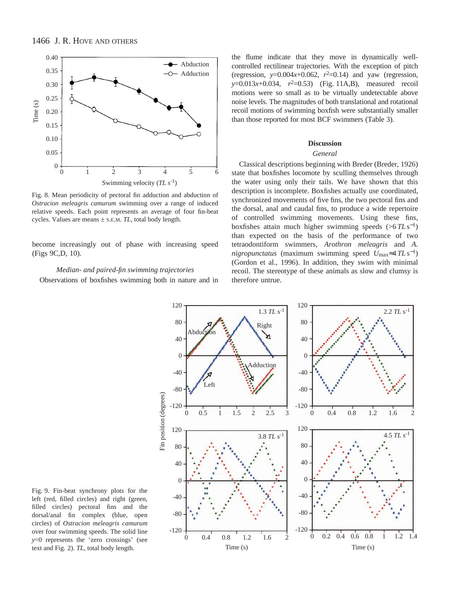

Fig. 8. Mean periodicity of pectoral fin adduction and abduction of *Ostracion meleagris camurum* swimming over a range of induced relative speeds. Each point represents an average of four fin-beat cycles. Values are means ± S.E.M. *TL*, total body length.

become increasingly out of phase with increasing speed (Figs 9C,D, 10).

# *Median- and paired-fin swimming trajectories*

Observations of boxfishes swimming both in nature and in

the flume indicate that they move in dynamically wellcontrolled rectilinear trajectories. With the exception of pitch (regression,  $y=0.004x+0.062$ ,  $r^2=0.14$ ) and yaw (regression, *y*=0.013*x*+0.034,  $r^2$ =0.53) (Fig. 11A,B), measured recoil motions were so small as to be virtually undetectable above noise levels. The magnitudes of both translational and rotational recoil motions of swimming boxfish were substantially smaller than those reported for most BCF swimmers (Table 3).

## **Discussion**

## *General*

Classical descriptions beginning with Breder (Breder, 1926) state that boxfishes locomote by sculling themselves through the water using only their tails. We have shown that this description is incomplete. Boxfishes actually use coordinated, synchronized movements of five fins, the two pectoral fins and the dorsal, anal and caudal fins, to produce a wide repertoire of controlled swimming movements. Using these fins, boxfishes attain much higher swimming speeds (>6 *TL* s<sup>−</sup>1) than expected on the basis of the performance of two tetraodontiform swimmers, *Arothron meleagris* and *A. nigropunctatus* (maximum swimming speed *U*max≈4 *TL* s<sup>−</sup>1) (Gordon et al., 1996). In addition, they swim with minimal recoil. The stereotype of these animals as slow and clumsy is therefore untrue.



Fig. 9. Fin-beat synchrony plots for the left (red, filled circles) and right (green, filled circles) pectoral fins and the dorsal/anal fin complex (blue, open circles) of *Ostracion meleagris camurum* over four swimming speeds. The solid line *y*=0 represents the 'zero crossings' (see text and Fig. 2). *TL*, total body length.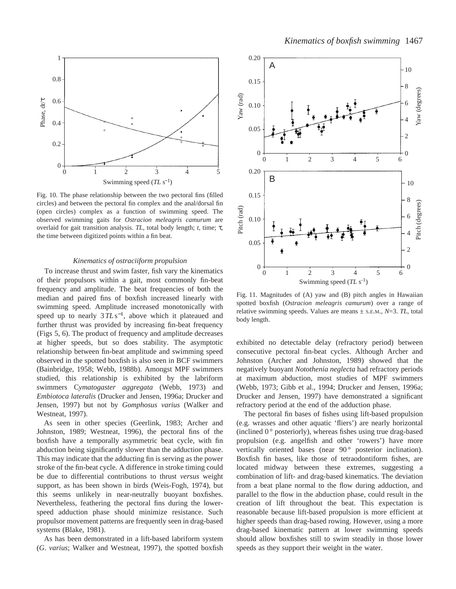

Fig. 10. The phase relationship between the two pectoral fins (filled circles) and between the pectoral fin complex and the anal/dorsal fin (open circles) complex as a function of swimming speed. The observed swimming gaits for *Ostracion meleagris camurum* are overlaid for gait transition analysis. *TL*, total body length; *t*, time; τ, the time between digitized points within a fin beat.

### *Kinematics of ostraciiform propulsion*

To increase thrust and swim faster, fish vary the kinematics of their propulsors within a gait, most commonly fin-beat frequency and amplitude. The beat frequencies of both the median and paired fins of boxfish increased linearly with swimming speed. Amplitude increased monotonically with speed up to nearly 3 *TL* s<sup>−1</sup>, above which it plateaued and further thrust was provided by increasing fin-beat frequency (Figs 5, 6). The product of frequency and amplitude decreases at higher speeds, but so does stability. The asymptotic relationship between fin-beat amplitude and swimming speed observed in the spotted boxfish is also seen in BCF swimmers (Bainbridge, 1958; Webb, 1988b). Amongst MPF swimmers studied, this relationship is exhibited by the labriform swimmers C*ymatogaster aggregata* (Webb, 1973) and *Embiotoca lateralis* (Drucker and Jensen, 1996a; Drucker and Jensen, 1997) but not by *Gomphosus varius* (Walker and Westneat, 1997).

As seen in other species (Geerlink, 1983; Archer and Johnston, 1989; Westneat, 1996), the pectoral fins of the boxfish have a temporally asymmetric beat cycle, with fin abduction being significantly slower than the adduction phase. This may indicate that the adducting fin is serving as the power stroke of the fin-beat cycle. A difference in stroke timing could be due to differential contributions to thrust *versus* weight support, as has been shown in birds (Weis-Fogh, 1974), but this seems unlikely in near-neutrally buoyant boxfishes. Nevertheless, feathering the pectoral fins during the lowerspeed adduction phase should minimize resistance. Such propulsor movement patterns are frequently seen in drag-based systems (Blake, 1981).

As has been demonstrated in a lift-based labriform system (*G. varius*; Walker and Westneat, 1997), the spotted boxfish



Fig. 11. Magnitudes of (A) yaw and (B) pitch angles in Hawaiian spotted boxfish (*Ostracion meleagris camurum*) over a range of relative swimming speeds. Values are means  $\pm$  s.e.m.,  $N=3$ . TL, total body length.

exhibited no detectable delay (refractory period) between consecutive pectoral fin-beat cycles. Although Archer and Johnston (Archer and Johnston, 1989) showed that the negatively buoyant *Notothenia neglecta* had refractory periods at maximum abduction, most studies of MPF swimmers (Webb, 1973; Gibb et al., 1994; Drucker and Jensen, 1996a; Drucker and Jensen, 1997) have demonstrated a significant refractory period at the end of the adduction phase.

The pectoral fin bases of fishes using lift-based propulsion (e.g. wrasses and other aquatic 'fliers') are nearly horizontal (inclined  $0^{\circ}$  posteriorly), whereas fishes using true drag-based propulsion (e.g. angelfish and other 'rowers') have more vertically oriented bases (near 90° posterior inclination). Boxfish fin bases, like those of tetraodontiform fishes, are located midway between these extremes, suggesting a combination of lift- and drag-based kinematics. The deviation from a beat plane normal to the flow during adduction, and parallel to the flow in the abduction phase, could result in the creation of lift throughout the beat. This expectation is reasonable because lift-based propulsion is more efficient at higher speeds than drag-based rowing. However, using a more drag-based kinematic pattern at lower swimming speeds should allow boxfishes still to swim steadily in those lower speeds as they support their weight in the water.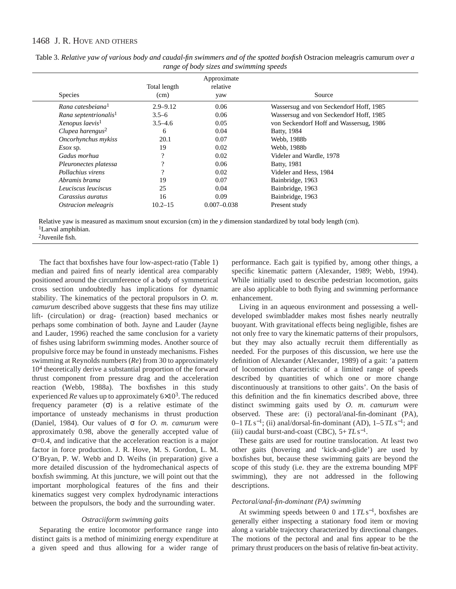| <b>Species</b>                    | Total length<br>(cm) | Approximate<br>relative<br>yaw | Source                                  |
|-----------------------------------|----------------------|--------------------------------|-----------------------------------------|
| Rana catesbeiana <sup>1</sup>     | $2.9 - 9.12$         | 0.06                           | Wassersug and von Seckendorf Hoff, 1985 |
| Rana septentrionalis <sup>1</sup> | $3.5 - 6$            | 0.06                           | Wassersug and von Seckendorf Hoff, 1985 |
| Xenopus laevis <sup>1</sup>       | $3.5 - 4.6$          | 0.05                           | von Seckendorf Hoff and Wassersug, 1986 |
| Clupea harengus $2$               | 6                    | 0.04                           | <b>Batty</b> , 1984                     |
| Oncorhynchus mykiss               | 20.1                 | 0.07                           | Webb, 1988b                             |
| $Esox$ sp.                        | 19                   | 0.02                           | Webb, 1988b                             |
| Gadus morhua                      | າ                    | 0.02                           | Videler and Wardle, 1978                |
| Pleuronectes platessa             | ົ                    | 0.06                           | <b>Batty</b> , 1981                     |
| Pollachius virens                 |                      | 0.02                           | Videler and Hess, 1984                  |
| Abramis brama                     | 19                   | 0.07                           | Bainbridge, 1963                        |
| Leuciscus leuciscus               | 25                   | 0.04                           | Bainbridge, 1963                        |
| Carassius auratus                 | 16                   | 0.09                           | Bainbridge, 1963                        |
| Ostracion meleagris               | $10.2 - 15$          | $0.007 - 0.038$                | Present study                           |
|                                   |                      |                                |                                         |

Table 3. *Relative yaw of various body and caudal-fin swimmers and of the spotted boxfish* Ostracion meleagris camurum *over a range of body sizes and swimming speeds*

Relative yaw is measured as maximum snout excursion (cm) in the *y* dimension standardized by total body length (cm). <sup>1</sup>Larval amphibian.

2Juvenile fish.

The fact that boxfishes have four low-aspect-ratio (Table 1) median and paired fins of nearly identical area comparably positioned around the circumference of a body of symmetrical cross section undoubtedly has implications for dynamic stability. The kinematics of the pectoral propulsors in *O. m. camurum* described above suggests that these fins may utilize lift- (circulation) or drag- (reaction) based mechanics or perhaps some combination of both. Jayne and Lauder (Jayne and Lauder, 1996) reached the same conclusion for a variety of fishes using labriform swimming modes. Another source of propulsive force may be found in unsteady mechanisms. Fishes swimming at Reynolds numbers (*Re*) from 30 to approximately 104 theoretically derive a substantial proportion of the forward thrust component from pressure drag and the acceleration reaction (Webb, 1988a). The boxfishes in this study experienced  $Re$  values up to approximately  $6 \times 10^3$ . The reduced frequency parameter  $(\sigma)$  is a relative estimate of the importance of unsteady mechanisms in thrust production (Daniel, 1984). Our values of σ for *O. m. camurum* were approximately 0.98, above the generally accepted value of σ=0.4, and indicative that the acceleration reaction is a major factor in force production. J. R. Hove, M. S. Gordon, L. M. O'Bryan, P. W. Webb and D. Weihs (in preparation) give a more detailed discussion of the hydromechanical aspects of boxfish swimming*.* At this juncture, we will point out that the important morphological features of the fins and their kinematics suggest very complex hydrodynamic interactions between the propulsors, the body and the surrounding water.

# *Ostraciiform swimming gaits*

Separating the entire locomotor performance range into distinct gaits is a method of minimizing energy expenditure at a given speed and thus allowing for a wider range of

performance. Each gait is typified by, among other things, a specific kinematic pattern (Alexander, 1989; Webb, 1994). While initially used to describe pedestrian locomotion, gaits are also applicable to both flying and swimming performance enhancement.

Living in an aqueous environment and possessing a welldeveloped swimbladder makes most fishes nearly neutrally buoyant. With gravitational effects being negligible, fishes are not only free to vary the kinematic patterns of their propulsors, but they may also actually recruit them differentially as needed. For the purposes of this discussion, we here use the definition of Alexander (Alexander, 1989) of a gait: 'a pattern of locomotion characteristic of a limited range of speeds described by quantities of which one or more change discontinuously at transitions to other gaits'. On the basis of this definition and the fin kinematics described above, three distinct swimming gaits used by *O. m. camurum* were observed. These are: (i) pectoral/anal-fin-dominant (PA), 0–1 *TL* s<sup>−</sup>1; (ii) anal/dorsal-fin-dominant (AD), 1–5 *TL* s<sup>−</sup>1; and (iii) caudal burst-and-coast (CBC),  $5+TLs^{-1}$ .

These gaits are used for routine translocation. At least two other gaits (hovering and 'kick-and-glide') are used by boxfishes but, because these swimming gaits are beyond the scope of this study (i.e. they are the extrema bounding MPF swimming), they are not addressed in the following descriptions.

### *Pectoral/anal-fin-dominant (PA) swimming*

At swimming speeds between 0 and 1*TL*s<sup>−</sup>1, boxfishes are generally either inspecting a stationary food item or moving along a variable trajectory characterized by directional changes. The motions of the pectoral and anal fins appear to be the primary thrust producers on the basis of relative fin-beat activity.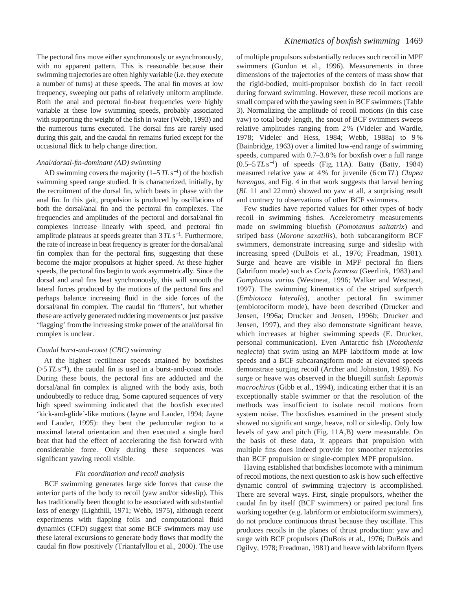The pectoral fins move either synchronously or asynchronously, with no apparent pattern. This is reasonable because their swimming trajectories are often highly variable (i.e. they execute a number of turns) at these speeds. The anal fin moves at low frequency, sweeping out paths of relatively uniform amplitude. Both the anal and pectoral fin-beat frequencies were highly variable at these low swimming speeds, probably associated with supporting the weight of the fish in water (Webb, 1993) and the numerous turns executed. The dorsal fins are rarely used during this gait, and the caudal fin remains furled except for the occasional flick to help change direction.

### *Anal/dorsal-fin-dominant (AD) swimming*

AD swimming covers the majority (1–5*TL*s<sup>−</sup>1) of the boxfish swimming speed range studied. It is characterized, initially, by the recruitment of the dorsal fin, which beats in phase with the anal fin. In this gait, propulsion is produced by oscillations of both the dorsal/anal fin and the pectoral fin complexes. The frequencies and amplitudes of the pectoral and dorsal/anal fin complexes increase linearly with speed, and pectoral fin amplitude plateaus at speeds greater than 3*TL*s<sup>−</sup>1. Furthermore, the rate of increase in beat frequency is greater for the dorsal/anal fin complex than for the pectoral fins, suggesting that these become the major propulsors at higher speed. At these higher speeds, the pectoral fins begin to work asymmetrically. Since the dorsal and anal fins beat synchronously, this will smooth the lateral forces produced by the motions of the pectoral fins and perhaps balance increasing fluid in the side forces of the dorsal/anal fin complex. The caudal fin 'flutters', but whether these are actively generated ruddering movements or just passive 'flagging' from the increasing stroke power of the anal/dorsal fin complex is unclear.

### *Caudal burst-and-coast (CBC) swimming*

At the highest rectilinear speeds attained by boxfishes  $(55 \, \text{T} L \, \text{s}^{-1})$ , the caudal fin is used in a burst-and-coast mode. During these bouts, the pectoral fins are adducted and the dorsal/anal fin complex is aligned with the body axis, both undoubtedly to reduce drag. Some captured sequences of very high speed swimming indicated that the boxfish executed 'kick-and-glide'-like motions (Jayne and Lauder, 1994; Jayne and Lauder, 1995): they bent the peduncular region to a maximal lateral orientation and then executed a single hard beat that had the effect of accelerating the fish forward with considerable force. Only during these sequences was significant yawing recoil visible.

## *Fin coordination and recoil analysis*

BCF swimming generates large side forces that cause the anterior parts of the body to recoil (yaw and/or sideslip). This has traditionally been thought to be associated with substantial loss of energy (Lighthill, 1971; Webb, 1975), although recent experiments with flapping foils and computational fluid dynamics (CFD) suggest that some BCF swimmers may use these lateral excursions to generate body flows that modify the caudal fin flow positively (Triantafyllou et al., 2000). The use

of multiple propulsors substantially reduces such recoil in MPF swimmers (Gordon et al., 1996). Measurements in three dimensions of the trajectories of the centers of mass show that the rigid-bodied, multi-propulsor boxfish do in fact recoil during forward swimming. However, these recoil motions are small compared with the yawing seen in BCF swimmers (Table 3). Normalizing the amplitude of recoil motions (in this case yaw) to total body length, the snout of BCF swimmers sweeps relative amplitudes ranging from 2 % (Videler and Wardle, 1978; Videler and Hess, 1984; Webb, 1988a) to 9 % (Bainbridge, 1963) over a limited low-end range of swimming speeds, compared with 0.7–3.8 % for boxfish over a full range (0.5–5 *TL* s<sup>−</sup>1) of speeds (Fig. 11A). Batty (Batty, 1984) measured relative yaw at 4 % for juvenile (6 cm*TL*) *Clupea harengus*, and Fig. 4 in that work suggests that larval herring (*BL* 11 and 22 mm) showed no yaw at all, a surprising result and contrary to observations of other BCF swimmers.

Few studies have reported values for other types of body recoil in swimming fishes. Accelerometry measurements made on swimming bluefish (*Pomotamus saltatrix*) and striped bass (*Morone saxatilis*), both subcarangiform BCF swimmers, demonstrate increasing surge and sideslip with increasing speed (DuBois et al., 1976; Freadman, 1981). Surge and heave are visible in MPF pectoral fin fliers (labriform mode) such as *Coris formosa* (Geerlink, 1983) and *Gomphosus varius* (Westneat, 1996; Walker and Westneat, 1997). The swimming kinematics of the striped surfperch (*Embiotoca lateralis*), another pectoral fin swimmer (embiotociform mode), have been described (Drucker and Jensen, 1996a; Drucker and Jensen, 1996b; Drucker and Jensen, 1997), and they also demonstrate significant heave, which increases at higher swimming speeds (E. Drucker, personal communication). Even Antarctic fish (*Notothenia neglecta*) that swim using an MPF labriform mode at low speeds and a BCF subcarangiform mode at elevated speeds demonstrate surging recoil (Archer and Johnston, 1989). No surge or heave was observed in the bluegill sunfish *Lepomis macrochirus* (Gibb et al., 1994), indicating either that it is an exceptionally stable swimmer or that the resolution of the methods was insufficient to isolate recoil motions from system noise. The boxfishes examined in the present study showed no significant surge, heave, roll or sideslip. Only low levels of yaw and pitch (Fig. 11A,B) were measurable. On the basis of these data, it appears that propulsion with multiple fins does indeed provide for smoother trajectories than BCF propulsion or single-complex MPF propulsion.

Having established that boxfishes locomote with a minimum of recoil motions, the next question to ask is how such effective dynamic control of swimming trajectory is accomplished. There are several ways. First, single propulsors, whether the caudal fin by itself (BCF swimmers) or paired pectoral fins working together (e.g. labriform or embiotociform swimmers), do not produce continuous thrust because they oscillate. This produces recoils in the planes of thrust production: yaw and surge with BCF propulsors (DuBois et al., 1976; DuBois and Ogilvy, 1978; Freadman, 1981) and heave with labriform flyers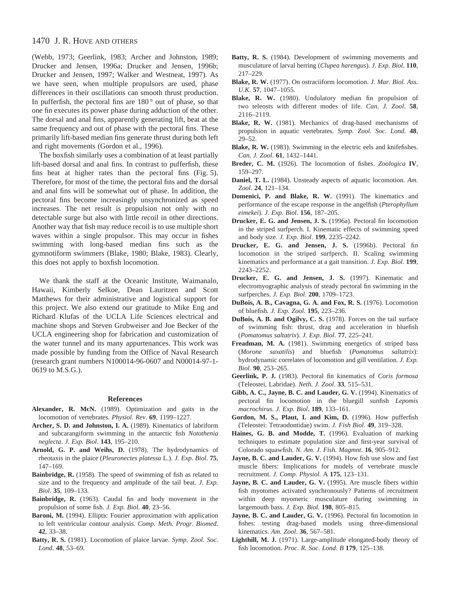(Webb, 1973; Geerlink, 1983; Archer and Johnston, 1989; Drucker and Jensen, 1996a; Drucker and Jensen, 1996b; Drucker and Jensen, 1997; Walker and Westneat, 1997). As we have seen, when multiple propulsors are used, phase differences in their oscillations can smooth thrust production. In pufferfish, the pectoral fins are 180 ° out of phase, so that one fin executes its power phase during adduction of the other. The dorsal and anal fins, apparently generating lift, beat at the same frequency and out of phase with the pectoral fins. These primarily lift-based median fins generate thrust during both left and right movements (Gordon et al., 1996).

The boxfish similarly uses a combination of at least partially lift-based dorsal and anal fins. In contrast to pufferfish, these fins beat at higher rates than the pectoral fins (Fig. 5). Therefore, for most of the time, the pectoral fins and the dorsal and anal fins will be somewhat out of phase. In addition, the pectoral fins become increasingly unsynchronized as speed increases. The net result is propulsion not only with no detectable surge but also with little recoil in other directions. Another way that fish may reduce recoil is to use multiple short waves within a single propulsor. This may occur in fishes swimming with long-based median fins such as the gymnotiform swimmers (Blake, 1980; Blake, 1983). Clearly, this does not apply to boxfish locomotion.

We thank the staff at the Oceanic Institute, Waimanalo, Hawaii, Kimberly Selkoe, Dean Lauritzen and Scott Matthews for their administrative and logistical support for this project. We also extend our gratitude to Mike Eng and Richard Klufas of the UCLA Life Sciences electrical and machine shops and Steven Grubweiser and Joe Becker of the UCLA engineering shop for fabrication and customization of the water tunnel and its many appurtenances. This work was made possible by funding from the Office of Naval Research (research grant numbers N100014-96-0607 and N00014-97-1- 0619 to M.S.G.).

#### **References**

- **Alexander, R. McN.** (1989). Optimization and gaits in the locomotion of vertebrates. *Physiol. Rev*. **69**, 1199–1227.
- **Archer, S. D. and Johnston, I. A.** (1989). Kinematics of labriform and subcarangiform swimming in the antarctic fish *Notothenia neglecta*. *J. Exp. Biol*. **143**, 195–210.
- **Arnold, G. P. and Weihs, D.** (1978). The hydrodynamics of rheotaxis in the plaice (*Pleuronectes platessa* L.). *J. Exp. Biol*. **75**, 147–169.
- **Bainbridge, R.** (1958). The speed of swimming of fish as related to size and to the frequency and amplitude of the tail beat. *J. Exp. Biol*. **35**, 109–133.
- **Bainbridge, R.** (1963). Caudal fin and body movement in the propulsion of some fish. *J. Exp. Biol*. **40**, 23–56.
- **Baroni, M.** (1994). Elliptic Fourier approximation with application to left ventricular contour analysis. *Comp. Meth. Progr. Biomed*. **42**, 33–38.
- **Batty, R. S.** (1981). Locomotion of plaice larvae. *Symp. Zool. Soc. Lond*. **48**, 53–69.
- **Batty, R. S.** (1984). Development of swimming movements and musculature of larval herring (*Clupea harengus*). *J. Exp. Biol*. **110**, 217–229.
- **Blake, R. W.** (1977). On ostraciiform locomotion. *J. Mar. Biol. Ass. U.K.* **57**, 1047–1055.
- **Blake, R. W.** (1980). Undulatory median fin propulsion of two teleosts with different modes of life. *Can. J. Zool*. **58**, 2116–2119.
- **Blake, R. W.** (1981). Mechanics of drag-based mechanisms of propulsion in aquatic vertebrates. *Symp. Zool. Soc. Lond*. **48**, 29–52.
- **Blake, R. W.** (1983). Swimming in the electric eels and knifefishes. *Can. J. Zool*. **61**, 1432–1441.
- **Breder, C. M.** (1926). The locomotion of fishes. *Zoologica* **IV**, 159–297.
- **Daniel, T. L.** (1984). Unsteady aspects of aquatic locomotion. *Am. Zool*. **24**, 121–134.
- **Domenici, P. and Blake, R. W.** (1991). The kinematics and performance of the escape response in the angelfish (*Pterophyllum eimekei*). *J. Exp. Biol*. **156**, 187–205.
- **Drucker, E. G. and Jensen, J. S.** (1996a). Pectoral fin locomotion in the striped surfperch. I. Kinematic effects of swimming speed and body size. *J. Exp. Biol*. **199**, 2235–2242.
- **Drucker, E. G. and Jensen, J. S.** (1996b). Pectoral fin locomotion in the striped surfperch. II. Scaling swimming kinematics and performance at a gait transition. *J. Exp. Biol*. **199**, 2243–2252.
- **Drucker, E. G. and Jensen, J. S.** (1997). Kinematic and electromyographic analysis of steady pectoral fin swimming in the surfperches. *J. Exp. Biol*. **200**, 1709–1723.
- **DuBois, A. B., Cavagna, G. A. and Fox, R. S.** (1976). Locomotion of bluefish*. J. Exp. Zool*. **195**, 223–236.
- **DuBois, A. B. and Ogilvy, C. S.** (1978). Forces on the tail surface of swimming fish: thrust, drag and acceleration in bluefish (*Pomatomus saltatrix*). *J. Exp. Biol*. **77**, 225–241.
- Freadman, M. A. (1981). Swimming energetics of striped bass (*Morone saxatilis*) and bluefish (*Pomatomus saltatrix*): hydrodynamic correlates of locomotion and gill ventilation. *J. Exp. Biol*. **90**, 253–265.
- **Geerlink, P. J.** (1983). Pectoral fin kinematics of *Coris formosa* (Teleostei, Labridae). *Neth. J. Zool*. **33**, 515–531.
- **Gibb, A. C., Jayne, B. C. and Lauder, G. V.** (1994). Kinematics of pectoral fin locomotion in the bluegill sunfish *Lepomis macrochirus. J. Exp. Biol*. **189**, 133–161.
- **Gordon, M. S., Plaut, I. and Kim, D.** (1996). How pufferfish (Teleostei: Tetraodontidae) swim. *J. Fish Biol*. **49**, 319–328.
- **Haines, G. B. and Modde, T.** (1996). Evaluation of marking techniques to estimate population size and first-year survival of Colorado squawfish. *N. Am. J. Fish. Magmnt*. **16**, 905–912.
- **Jayne, B. C. and Lauder, G. V.** (1994). How fish use slow and fast muscle fibers: Implications for models of vertebrate muscle recruitment. *J. Comp. Physiol.* A **175**, 123–131.
- **Jayne, B. C. and Lauder, G. V.** (1995). Are muscle fibers within fish myotomes activated synchronously? Patterns of recruitment within deep myomeric musculature during swimming in largemouth bass. *J. Exp. Biol.* **198**, 805–815.
- **Jayne, B. C. and Lauder, G. V.** (1996). Pectoral fin locomotion in fishes: testing drag-based models using three-dimensional kinematics. *Am. Zool*. **36**, 567–581.
- **Lighthill, M. J.** (1971). Large-amplitude elongated-body theory of fish locomotion. *Proc. R. Soc*. *Lond. B* **179**, 125–138.